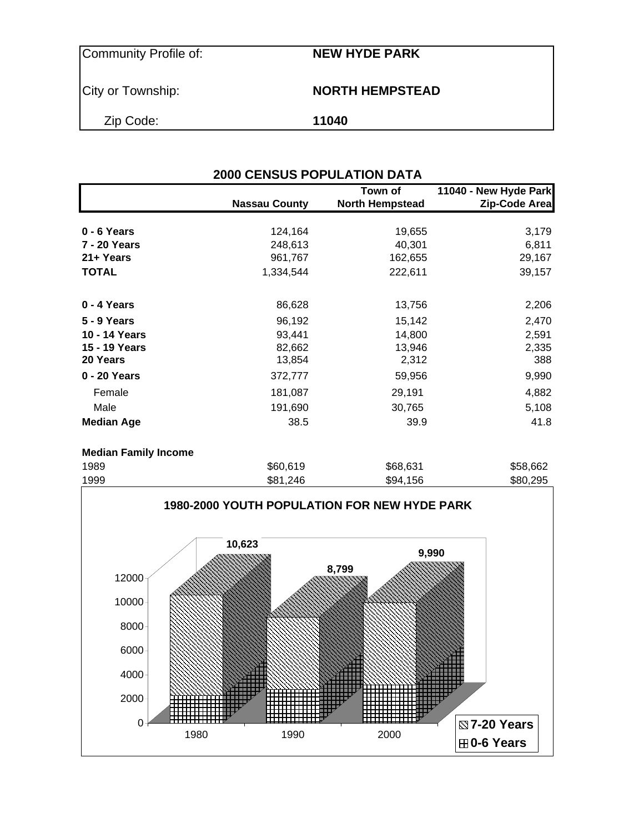City or Township: **NORTH HEMPSTEAD** 

Zip Code: **11040**

| <b>2000 CENSUS POPULATION DATA</b> |                      |                                   |                                        |  |  |  |  |
|------------------------------------|----------------------|-----------------------------------|----------------------------------------|--|--|--|--|
|                                    | <b>Nassau County</b> | Town of<br><b>North Hempstead</b> | 11040 - New Hyde Park<br>Zip-Code Area |  |  |  |  |
| 0 - 6 Years                        | 124,164              | 19,655                            | 3,179                                  |  |  |  |  |
| 7 - 20 Years                       | 248,613              | 40,301                            | 6,811                                  |  |  |  |  |
| 21+ Years                          | 961,767              | 162,655                           | 29,167                                 |  |  |  |  |
| <b>TOTAL</b>                       | 1,334,544            | 222,611                           | 39,157                                 |  |  |  |  |
| 0 - 4 Years                        | 86,628               | 13,756                            | 2,206                                  |  |  |  |  |
| <b>5 - 9 Years</b>                 | 96,192               | 15,142                            | 2,470                                  |  |  |  |  |
| 10 - 14 Years                      | 93,441               | 14,800                            | 2,591                                  |  |  |  |  |
| 15 - 19 Years                      | 82,662               | 13,946                            | 2,335                                  |  |  |  |  |
| 20 Years                           | 13,854               | 2,312                             | 388                                    |  |  |  |  |
| 0 - 20 Years                       | 372,777              | 59,956                            | 9,990                                  |  |  |  |  |
| Female                             | 181,087              | 29,191                            | 4,882                                  |  |  |  |  |
| Male                               | 191,690              | 30,765                            | 5,108                                  |  |  |  |  |
| <b>Median Age</b>                  | 38.5                 | 39.9                              | 41.8                                   |  |  |  |  |
| <b>Median Family Income</b>        |                      |                                   |                                        |  |  |  |  |
|                                    | $\cdots$             | $\cdots$                          | $\cdots$                               |  |  |  |  |



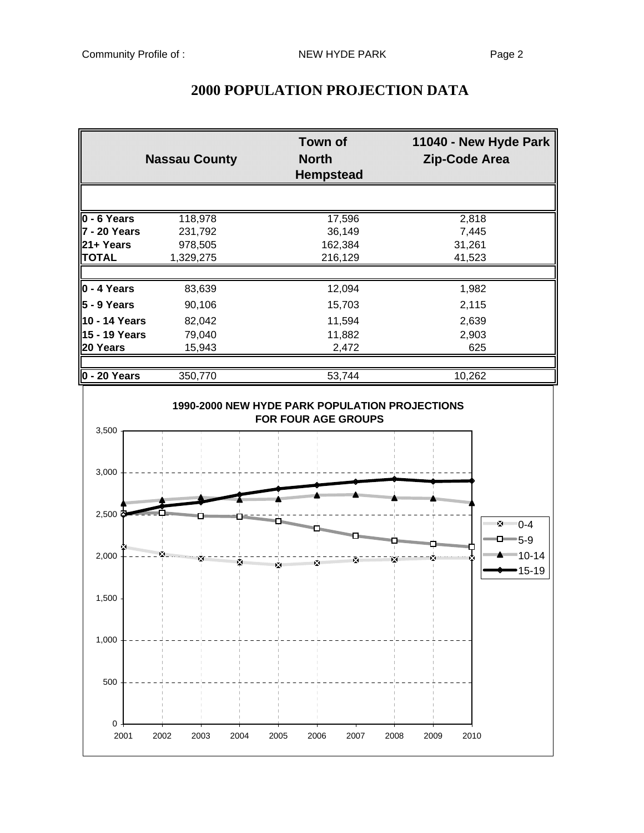| <b>Nassau County</b>       |                    | <b>Town of</b><br>North<br><b>Hempstead</b> |                 |
|----------------------------|--------------------|---------------------------------------------|-----------------|
|                            |                    |                                             |                 |
| $0 - 6$ Years              | 118,978            | 17,596                                      | 2,818           |
| 7 - 20 Years<br>l21+ Years | 231,792<br>978,505 | 36,149<br>162,384                           | 7,445<br>31,261 |
| <b>TOTAL</b>               | 1,329,275          | 216,129                                     | 41,523          |
| $0 - 4$ Years              | 83,639             | 12,094                                      | 1,982           |
| 5 - 9 Years                | 90,106             | 15,703                                      | 2,115           |
| 10 - 14 Years              | 82,042             | 11,594                                      | 2,639           |
| 15 - 19 Years              | 79,040             | 11,882                                      | 2,903           |
| 20 Years                   | 15,943             | 2,472                                       | 625             |
| $ 0 - 20$ Years            | 350,770            | 53,744                                      | 10,262          |

# **2000 POPULATION PROJECTION DATA**

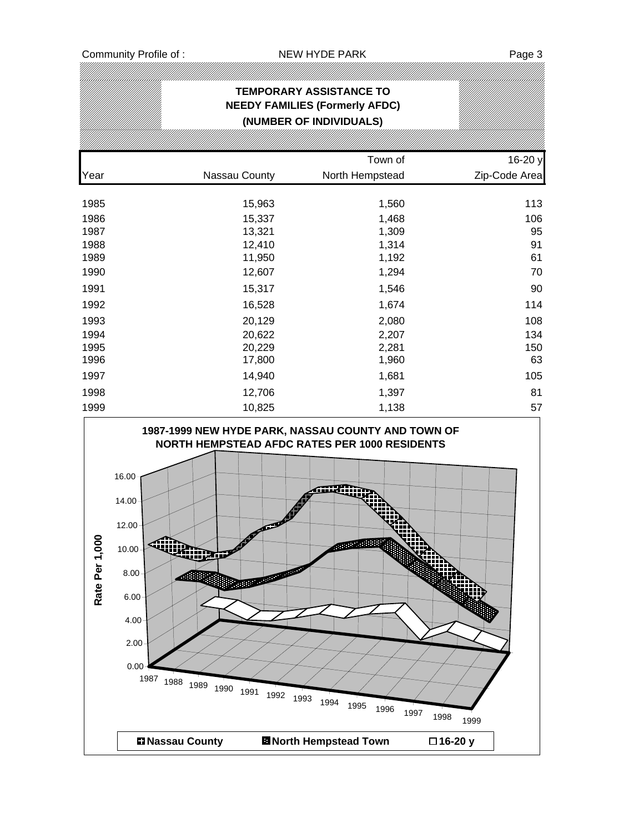|                                |                                                                                                                                                                                                                                     |                                        | <b>TEMPORARY ASSISTANCE TO</b><br><b>NEEDY FAMILIES (Formerly AFDC)</b><br>(NUMBER OF INDIVIDUALS) |                      |                          |
|--------------------------------|-------------------------------------------------------------------------------------------------------------------------------------------------------------------------------------------------------------------------------------|----------------------------------------|----------------------------------------------------------------------------------------------------|----------------------|--------------------------|
|                                |                                                                                                                                                                                                                                     |                                        |                                                                                                    |                      |                          |
| Year                           | Nassau County                                                                                                                                                                                                                       |                                        | Town of<br>North Hempstead                                                                         |                      | 16-20 y<br>Zip-Code Area |
| 1985                           |                                                                                                                                                                                                                                     | 15,963                                 | 1,560                                                                                              |                      | 113                      |
| 1986                           |                                                                                                                                                                                                                                     | 15,337                                 | 1,468                                                                                              |                      | 106                      |
| 1987                           |                                                                                                                                                                                                                                     | 13,321                                 | 1,309                                                                                              |                      | 95                       |
| 1988                           |                                                                                                                                                                                                                                     | 12,410                                 | 1,314                                                                                              |                      | 91                       |
| 1989                           |                                                                                                                                                                                                                                     | 11,950                                 | 1,192                                                                                              |                      | 61                       |
| 1990                           |                                                                                                                                                                                                                                     | 12,607                                 | 1,294                                                                                              |                      | 70                       |
| 1991                           |                                                                                                                                                                                                                                     | 15,317                                 | 1,546                                                                                              |                      | 90                       |
| 1992                           |                                                                                                                                                                                                                                     | 16,528                                 | 1,674                                                                                              |                      | 114                      |
| 1993                           |                                                                                                                                                                                                                                     | 20,129                                 | 2,080                                                                                              |                      | 108                      |
| 1994                           |                                                                                                                                                                                                                                     | 20,622                                 | 2,207                                                                                              |                      | 134                      |
| 1995                           |                                                                                                                                                                                                                                     | 20,229                                 | 2,281                                                                                              |                      | 150                      |
| 1996                           |                                                                                                                                                                                                                                     | 17,800                                 | 1,960                                                                                              |                      | 63                       |
| 1997                           |                                                                                                                                                                                                                                     | 14,940                                 | 1,681                                                                                              |                      | 105                      |
| 1998                           |                                                                                                                                                                                                                                     | 12,706                                 | 1,397                                                                                              |                      | 81                       |
| 1999                           |                                                                                                                                                                                                                                     | 10,825                                 | 1,138                                                                                              |                      | 57                       |
| ຂ<br>$\frac{5}{1}$<br>Rate Per | 1987-1999 NEW HYDE PARK, NASSAU COUNTY AND TOWN OF<br>NORTH HEMPSTEAD AFDC RATES PER 1000 RESIDENTS<br>16.00<br>14.00<br>12.00<br>10.00<br>ш<br>8.00<br>6.00<br>4.00<br>2.00<br>0.00 <sub>1</sub><br>1987<br>1988 1989 1990<br>1991 | E<br><b>CONTRACTOR</b><br>1992<br>1993 | anzar.<br>1994<br>1995<br>1996                                                                     | 1997<br>1998<br>1999 |                          |
|                                | <b>DI Nassau County</b>                                                                                                                                                                                                             |                                        | <b>El North Hempstead Town</b>                                                                     | □16-20 y             |                          |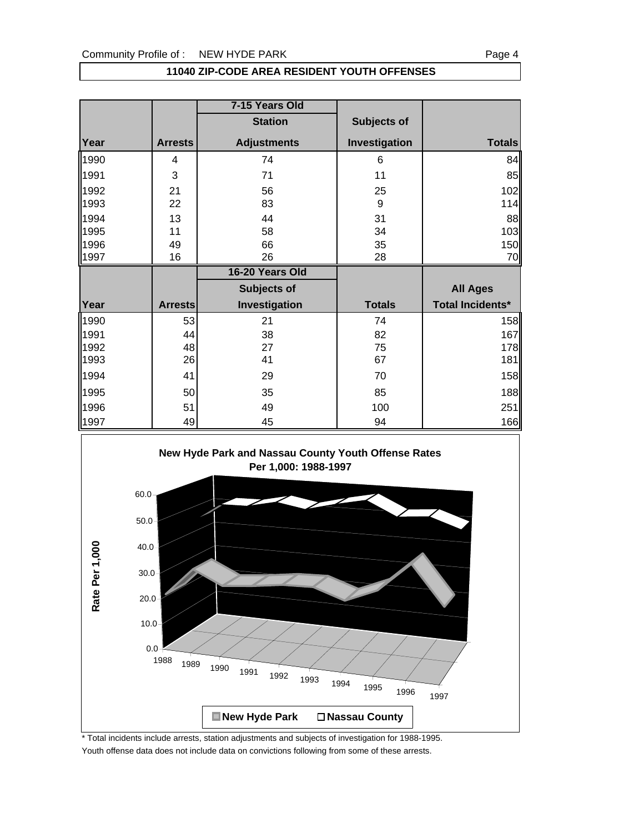### **11040 ZIP-CODE AREA RESIDENT YOUTH OFFENSES**

|              |                | 7-15 Years Old     |               |                         |
|--------------|----------------|--------------------|---------------|-------------------------|
|              |                | <b>Station</b>     | Subjects of   |                         |
| Year         | <b>Arrests</b> | <b>Adjustments</b> | Investigation | <b>Totals</b>           |
| 1990         | 4              | 74                 | 6             | 84                      |
| 1991         | 3              | 71                 | 11            | 85                      |
| 1992<br>1993 | 21<br>22       | 56<br>83           | 25<br>9       | 102<br>114              |
| 1994         | 13             | 44                 | 31            | 88                      |
| 1995         | 11             | 58                 | 34            | 103                     |
| 1996         | 49             | 66                 | 35            | 150                     |
| 1997         | 16             | 26                 | 28            | 70                      |
|              |                |                    |               |                         |
|              |                | 16-20 Years Old    |               |                         |
|              |                | Subjects of        |               | <b>All Ages</b>         |
| Year         | <b>Arrests</b> | Investigation      | <b>Totals</b> | <b>Total Incidents*</b> |
| 1990         | 53             | 21                 | 74            |                         |
| 1991         | 44             | 38                 | 82            | 167                     |
| 1992         | 48             | 27                 | 75            | 158<br>178              |
| 1993         | 26             | 41                 | 67            | 181                     |
| 1994         | 41             | 29                 | 70            |                         |
| 1995         | 50             | 35                 | 85            |                         |
| 1996         | 51             | 49                 | 100           | 158<br>188<br>251       |



\* Total incidents include arrests, station adjustments and subjects of investigation for 1988-1995. Youth offense data does not include data on convictions following from some of these arrests.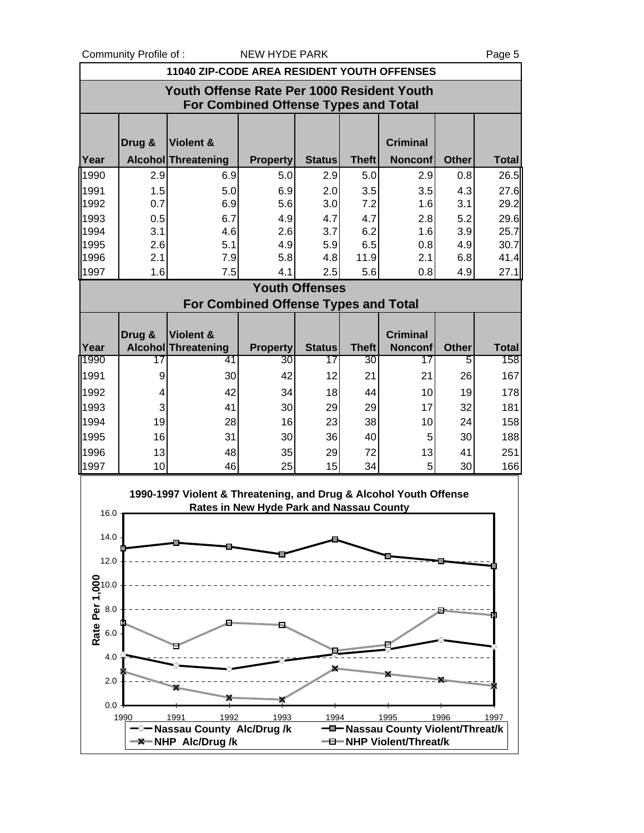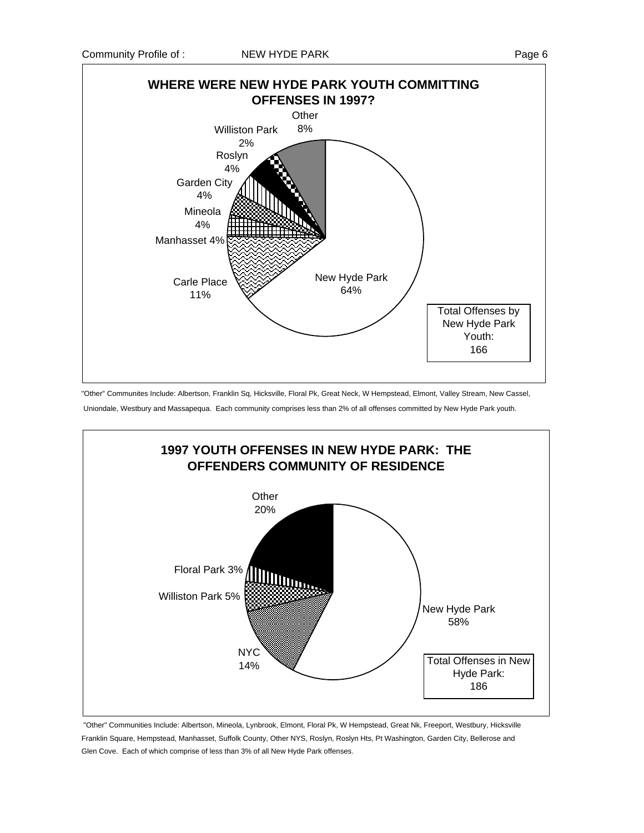

"Other" Communites Include: Albertson, Franklin Sq, Hicksville, Floral Pk, Great Neck, W Hempstead, Elmont, Valley Stream, New Cassel,

Uniondale, Westbury and Massapequa. Each community comprises less than 2% of all offenses committed by New Hyde Park youth.



 "Other" Communities Include: Albertson, Mineola, Lynbrook, Elmont, Floral Pk, W Hempstead, Great Nk, Freeport, Westbury, Hicksville Franklin Square, Hempstead, Manhasset, Suffolk County, Other NYS, Roslyn, Roslyn Hts, Pt Washington, Garden City, Bellerose and Glen Cove. Each of which comprise of less than 3% of all New Hyde Park offenses.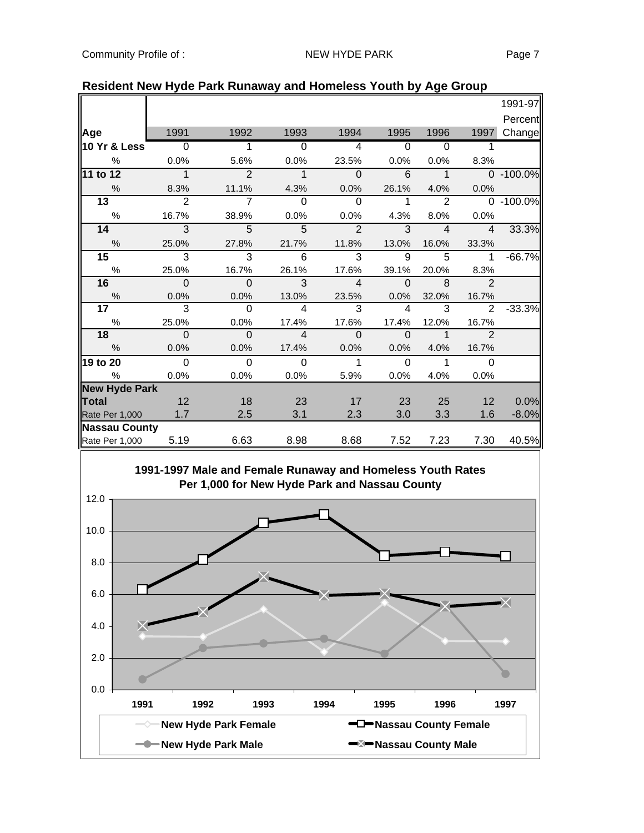| nesident new riyde i ark nunaway and homeless Touth by Age Oroup |                |                                                            |                |                |                                   |                |                         |           |
|------------------------------------------------------------------|----------------|------------------------------------------------------------|----------------|----------------|-----------------------------------|----------------|-------------------------|-----------|
|                                                                  |                |                                                            |                |                |                                   |                |                         | 1991-97   |
|                                                                  |                |                                                            |                |                |                                   |                |                         | Percent   |
| <b>Age</b>                                                       | 1991           | 1992                                                       | 1993           | 1994           | 1995                              | 1996           | 1997                    | Change    |
| 10 Yr & Less                                                     | 0              | 1                                                          | $\Omega$       | 4              | $\Omega$                          | 0              | 1                       |           |
| $\%$                                                             | 0.0%           | 5.6%                                                       | 0.0%           | 23.5%          | 0.0%                              | 0.0%           | 8.3%                    |           |
| 11 to 12                                                         | $\mathbf 1$    | $\overline{2}$                                             | $\mathbf{1}$   | $\overline{0}$ | 6                                 | $\mathbf{1}$   |                         | 0 -100.0% |
| $\%$                                                             | 8.3%           | 11.1%                                                      | 4.3%           | 0.0%           | 26.1%                             | 4.0%           | 0.0%                    |           |
| 13                                                               | $\overline{2}$ | $\overline{7}$                                             | $\Omega$       | $\Omega$       | 1                                 | $\overline{2}$ | $\Omega$                | $-100.0%$ |
| $\%$                                                             | 16.7%          | 38.9%                                                      | 0.0%           | 0.0%           | 4.3%                              | 8.0%           | 0.0%                    |           |
| 14                                                               | 3              | 5                                                          | 5              | $\overline{2}$ | 3                                 | $\overline{4}$ | $\overline{4}$          | 33.3%     |
| $\%$                                                             | 25.0%          | 27.8%                                                      | 21.7%          | 11.8%          | 13.0%                             | 16.0%          | 33.3%                   |           |
| 15                                                               | 3              | 3                                                          | 6              | 3              | 9                                 | 5              | 1                       | $-66.7%$  |
| $\%$                                                             | 25.0%          | 16.7%                                                      | 26.1%          | 17.6%          | 39.1%                             | 20.0%          | 8.3%<br>$\mathcal{P}$   |           |
| 16<br>$\%$                                                       | $\Omega$       | $\mathbf{O}$                                               | 3<br>13.0%     | 4<br>23.5%     | $\Omega$                          | 8              |                         |           |
| 17                                                               | 0.0%<br>3      | 0.0%<br>0                                                  | 4              | 3              | 0.0%<br>4                         | 32.0%<br>3     | 16.7%<br>$\overline{2}$ | $-33.3%$  |
| $\%$                                                             | 25.0%          | 0.0%                                                       | 17.4%          | 17.6%          | 17.4%                             | 12.0%          | 16.7%                   |           |
| 18                                                               | 0              | 0                                                          | 4              | 0              | $\Omega$                          | 1              | $\mathcal{P}$           |           |
| %                                                                | 0.0%           | 0.0%                                                       | 17.4%          | 0.0%           | 0.0%                              | 4.0%           | 16.7%                   |           |
| 19 to 20                                                         | $\overline{0}$ | $\overline{0}$                                             | $\overline{0}$ | 1              | 0                                 | 1              | $\Omega$                |           |
| %                                                                | 0.0%           | 0.0%                                                       | 0.0%           | 5.9%           | 0.0%                              | 4.0%           | 0.0%                    |           |
| <b>New Hyde Park</b>                                             |                |                                                            |                |                |                                   |                |                         |           |
| Total                                                            | 12             | 18                                                         | 23             | 17             | 23                                | 25             | 12                      | 0.0%      |
| Rate Per 1,000                                                   | 1.7            | 2.5                                                        | 3.1            | 2.3            | 3.0                               | 3.3            | 1.6                     | $-8.0%$   |
| <b>Nassau County</b>                                             |                |                                                            |                |                |                                   |                |                         |           |
| Rate Per 1,000                                                   | 5.19           | 6.63                                                       | 8.98           | 8.68           | 7.52                              | 7.23           | 7.30                    | 40.5%     |
|                                                                  |                | 1991-1997 Male and Female Runaway and Homeless Youth Rates |                |                |                                   |                |                         |           |
|                                                                  |                | Per 1,000 for New Hyde Park and Nassau County              |                |                |                                   |                |                         |           |
| 12.0                                                             |                |                                                            |                |                |                                   |                |                         |           |
|                                                                  |                |                                                            |                |                |                                   |                |                         |           |
| 10.0                                                             |                |                                                            |                |                |                                   |                |                         |           |
|                                                                  |                |                                                            |                |                |                                   |                |                         |           |
|                                                                  |                |                                                            |                |                |                                   |                |                         |           |
| 8.0                                                              |                |                                                            |                |                |                                   |                |                         |           |
|                                                                  |                |                                                            |                |                |                                   |                |                         |           |
| 6.0                                                              |                |                                                            |                |                |                                   |                |                         |           |
|                                                                  |                |                                                            |                |                |                                   |                |                         | XI        |
| 4.0                                                              |                |                                                            |                |                |                                   |                |                         |           |
|                                                                  |                |                                                            |                |                |                                   |                |                         |           |
|                                                                  |                |                                                            |                |                |                                   |                |                         |           |
| 2.0                                                              |                |                                                            |                |                |                                   |                |                         |           |
|                                                                  |                |                                                            |                |                |                                   |                |                         |           |
| $0.0 -$                                                          |                |                                                            |                |                |                                   |                |                         |           |
| 1991                                                             | 1992           | 1993                                                       |                | 1994           | 1995                              | 1996           |                         | 1997      |
|                                                                  |                | <b>New Hyde Park Female</b>                                |                |                | -D-Nassau County Female           |                |                         |           |
|                                                                  |                | <b>New Hyde Park Male</b>                                  |                |                | <sup>■⊠</sup> ■Nassau County Male |                |                         |           |
|                                                                  |                |                                                            |                |                |                                   |                |                         |           |

### **Resident New Hyde Park Runaway and Homeless Youth by Age Group**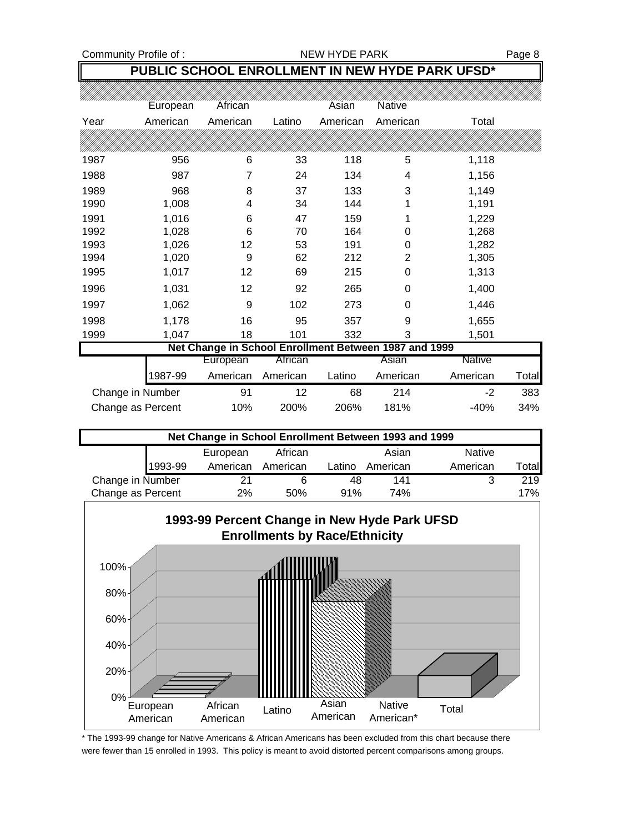# **PUBLIC SCHOOL ENROLLMENT IN NEW HYDE PARK UFSD\***

|                   | European | African                                               |          | Asian    | Native   |          |       |
|-------------------|----------|-------------------------------------------------------|----------|----------|----------|----------|-------|
| Year              | American | American                                              | Latino   | American | American | Total    |       |
|                   |          |                                                       |          |          |          |          |       |
| 1987              | 956      | 6                                                     | 33       | 118      | 5        | 1,118    |       |
| 1988              | 987      | 7                                                     | 24       | 134      | 4        | 1,156    |       |
| 1989              | 968      | 8                                                     | 37       | 133      | 3        | 1,149    |       |
| 1990              | 1,008    | 4                                                     | 34       | 144      | 1        | 1,191    |       |
| 1991              | 1,016    | 6                                                     | 47       | 159      | 1        | 1,229    |       |
| 1992              | 1,028    | 6                                                     | 70       | 164      | 0        | 1,268    |       |
| 1993              | 1,026    | 12                                                    | 53       | 191      | 0        | 1,282    |       |
| 1994              | 1,020    | 9                                                     | 62       | 212      | 2        | 1,305    |       |
| 1995              | 1,017    | 12                                                    | 69       | 215      | 0        | 1,313    |       |
| 1996              | 1,031    | 12                                                    | 92       | 265      | 0        | 1,400    |       |
| 1997              | 1,062    | 9                                                     | 102      | 273      | 0        | 1,446    |       |
| 1998              | 1,178    | 16                                                    | 95       | 357      | 9        | 1,655    |       |
| 1999              | 1,047    | 18                                                    | 101      | 332      | 3        | 1,501    |       |
|                   |          | Net Change in School Enrollment Between 1987 and 1999 |          |          |          |          |       |
|                   |          | European                                              | African  |          | Asian    | Native   |       |
|                   | 1987-99  | American                                              | American | Latino   | American | American | Total |
| Change in Number  |          | 91                                                    | 12       | 68       | 214      | $-2$     | 383   |
| Change as Percent |          | 10%                                                   | 200%     | 206%     | 181%     | $-40%$   | 34%   |

| Net Change in School Enrollment Between 1993 and 1999 |         |          |          |        |          |               |        |
|-------------------------------------------------------|---------|----------|----------|--------|----------|---------------|--------|
|                                                       |         | European | African  |        | Asian    | <b>Native</b> |        |
|                                                       | 1993-99 | American | American | Latino | American | American      | Totall |
| Change in Number                                      |         | 21       |          | 48     | 141      | າ             | 219    |
| Change as Percent                                     |         | 2%       | 50%      | 91%    | 74%      |               | 17%    |



\* The 1993-99 change for Native Americans & African Americans has been excluded from this chart because there were fewer than 15 enrolled in 1993. This policy is meant to avoid distorted percent comparisons among groups.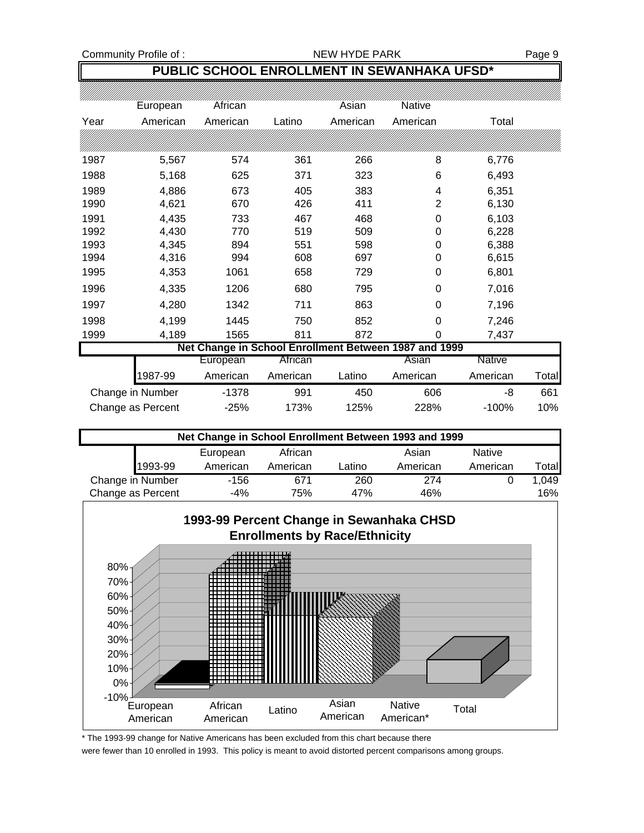# **PUBLIC SCHOOL ENROLLMENT IN SEWANHAKA UFSD\***

|      | European          | African  |          | Asian    | <b>Native</b>                                         |               |       |
|------|-------------------|----------|----------|----------|-------------------------------------------------------|---------------|-------|
| Year | American          | American | Latino   | American | American                                              | Total         |       |
|      |                   |          |          |          |                                                       |               |       |
| 1987 | 5,567             | 574      | 361      | 266      | 8                                                     | 6,776         |       |
| 1988 | 5,168             | 625      | 371      | 323      | 6                                                     | 6,493         |       |
| 1989 | 4,886             | 673      | 405      | 383      | 4                                                     | 6,351         |       |
| 1990 | 4,621             | 670      | 426      | 411      | 2                                                     | 6,130         |       |
| 1991 | 4,435             | 733      | 467      | 468      | 0                                                     | 6,103         |       |
| 1992 | 4,430             | 770      | 519      | 509      | 0                                                     | 6,228         |       |
| 1993 | 4,345             | 894      | 551      | 598      | 0                                                     | 6,388         |       |
| 1994 | 4,316             | 994      | 608      | 697      | 0                                                     | 6,615         |       |
| 1995 | 4,353             | 1061     | 658      | 729      | 0                                                     | 6,801         |       |
| 1996 | 4,335             | 1206     | 680      | 795      | 0                                                     | 7,016         |       |
| 1997 | 4,280             | 1342     | 711      | 863      | 0                                                     | 7,196         |       |
| 1998 | 4,199             | 1445     | 750      | 852      | 0                                                     | 7,246         |       |
| 1999 | 4,189             | 1565     | 811      | 872      | 0                                                     | 7,437         |       |
|      |                   |          |          |          | Net Change in School Enrollment Between 1987 and 1999 |               |       |
|      |                   | European | African  |          | Asian                                                 | <b>Native</b> |       |
|      | 1987-99           | American | American | Latino   | American                                              | American      | Total |
|      | Change in Number  | $-1378$  | 991      | 450      | 606                                                   | -8            | 661   |
|      | Change as Percent | $-25%$   | 173%     | 125%     | 228%                                                  | $-100%$       | 10%   |

| Net Change in School Enrollment Between 1993 and 1999 |         |          |          |        |          |               |       |  |
|-------------------------------------------------------|---------|----------|----------|--------|----------|---------------|-------|--|
|                                                       |         | European | African  |        | Asian    | <b>Native</b> |       |  |
|                                                       | 1993-99 | American | American | Latino | American | American      | Total |  |
| Change in Number                                      |         | -156     | 671      | 260    | 274      |               | 1.049 |  |
| Change as Percent                                     |         | $-4%$    | 75%      | 47%    | 46%      |               | 16%   |  |



\* The 1993-99 change for Native Americans has been excluded from this chart because there

were fewer than 10 enrolled in 1993. This policy is meant to avoid distorted percent comparisons among groups.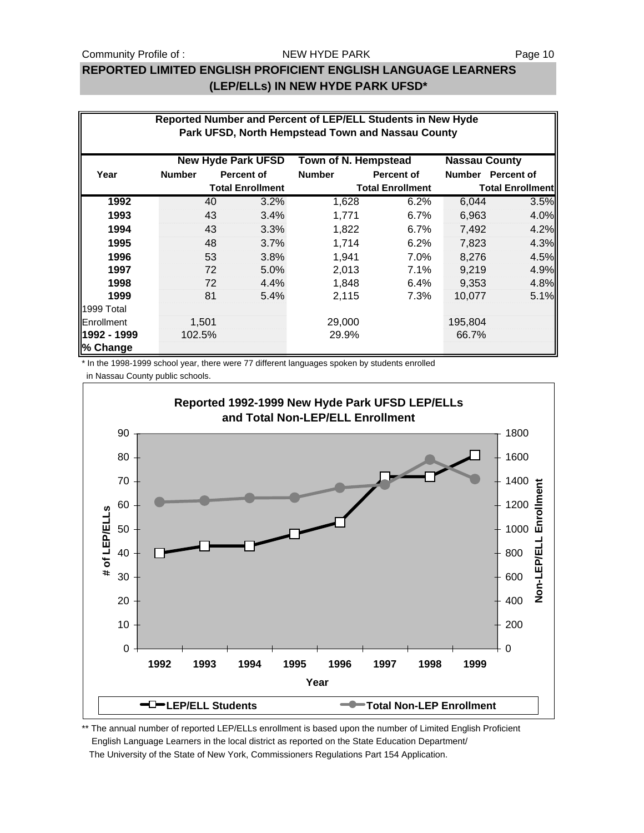#### NEW HYDE PARK

### **REPORTED LIMITED ENGLISH PROFICIENT ENGLISH LANGUAGE LEARNERS (LEP/ELLs) IN NEW HYDE PARK UFSD\***

|             | Reported Number and Percent of LEP/ELL Students in New Hyde |       |                           |                         |                                                   |                      |                   |  |  |
|-------------|-------------------------------------------------------------|-------|---------------------------|-------------------------|---------------------------------------------------|----------------------|-------------------|--|--|
|             |                                                             |       |                           |                         | Park UFSD, North Hempstead Town and Nassau County |                      |                   |  |  |
|             |                                                             |       | <b>New Hyde Park UFSD</b> | Town of N. Hempstead    |                                                   | <b>Nassau County</b> |                   |  |  |
| Year        | <b>Number</b>                                               |       | <b>Percent of</b>         | <b>Number</b>           | <b>Percent of</b>                                 |                      | Number Percent of |  |  |
|             | <b>Total Enrollment</b>                                     |       |                           | <b>Total Enrollment</b> | <b>Total Enrollment</b>                           |                      |                   |  |  |
| 1992        |                                                             | 40    | 3.2%                      | 1,628                   | 6.2%                                              | 6,044                | 3.5%              |  |  |
| 1993        |                                                             | 43    | 3.4%                      | 1,771                   | 6.7%                                              | 6,963                | 4.0%              |  |  |
| 1994        |                                                             | 43    | 3.3%                      | 1,822                   | 6.7%                                              | 7,492                | 4.2%              |  |  |
| 1995        |                                                             | 48    | 3.7%                      | 1,714                   | 6.2%                                              | 7,823                | 4.3%              |  |  |
| 1996        |                                                             | 53    | 3.8%                      | 1,941                   | 7.0%                                              | 8,276                | 4.5%              |  |  |
| 1997        |                                                             | 72    | 5.0%                      | 2,013                   | 7.1%                                              | 9,219                | 4.9%              |  |  |
| 1998        |                                                             | 72    | 4.4%                      | 1,848                   | 6.4%                                              | 9,353                | 4.8%              |  |  |
| 1999        |                                                             | 81    | 5.4%                      | 2,115                   | 7.3%                                              | 10,077               | 5.1%              |  |  |
| 1999 Total  |                                                             |       |                           |                         |                                                   |                      |                   |  |  |
| Enrollment  |                                                             | 1,501 |                           | 29,000                  |                                                   | 195,804              |                   |  |  |
| 1992 - 1999 | 102.5%                                                      |       |                           | 29.9%                   |                                                   | 66.7%                |                   |  |  |
| % Change    |                                                             |       |                           |                         |                                                   |                      |                   |  |  |

\* In the 1998-1999 school year, there were 77 different languages spoken by students enrolled



\*\* The annual number of reported LEP/ELLs enrollment is based upon the number of Limited English Proficient English Language Learners in the local district as reported on the State Education Department/ The University of the State of New York, Commissioners Regulations Part 154 Application.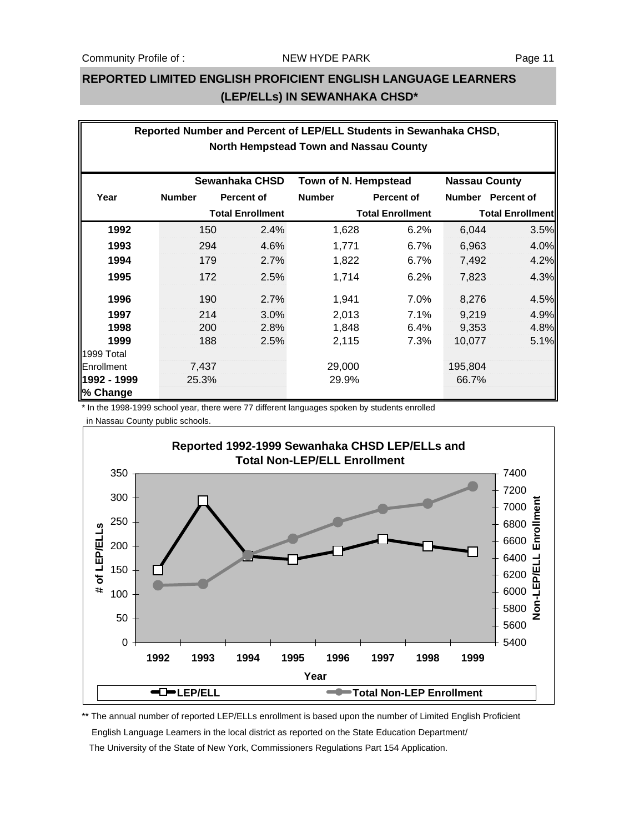## **REPORTED LIMITED ENGLISH PROFICIENT ENGLISH LANGUAGE LEARNERS (LEP/ELLs) IN SEWANHAKA CHSD\***

|             | Reported Number and Percent of LEP/ELL Students in Sewanhaka CHSD, |                         |               |                         |                      |                         |  |  |  |  |
|-------------|--------------------------------------------------------------------|-------------------------|---------------|-------------------------|----------------------|-------------------------|--|--|--|--|
|             | North Hempstead Town and Nassau County                             |                         |               |                         |                      |                         |  |  |  |  |
|             |                                                                    |                         |               |                         |                      |                         |  |  |  |  |
|             |                                                                    | Sewanhaka CHSD          |               | Town of N. Hempstead    | <b>Nassau County</b> |                         |  |  |  |  |
| Year        | <b>Number</b>                                                      | <b>Percent of</b>       | <b>Number</b> | <b>Percent of</b>       | <b>Number</b>        | <b>Percent of</b>       |  |  |  |  |
|             |                                                                    | <b>Total Enrollment</b> |               | <b>Total Enrollment</b> |                      | <b>Total Enrollment</b> |  |  |  |  |
| 1992        | 150                                                                | 2.4%                    | 1,628         | 6.2%                    | 6,044                | 3.5%                    |  |  |  |  |
| 1993        | 294                                                                | 4.6%                    | 1,771         | 6.7%                    | 6,963                | 4.0%                    |  |  |  |  |
| 1994        | 179                                                                | 2.7%                    | 1,822         | 6.7%                    | 7,492                | 4.2%                    |  |  |  |  |
| 1995        | 172                                                                | 2.5%                    | 1,714         | 6.2%                    | 7,823                | 4.3%                    |  |  |  |  |
| 1996        | 190                                                                | 2.7%                    | 1,941         | 7.0%                    | 8,276                | 4.5%                    |  |  |  |  |
| 1997        | 214                                                                | 3.0%                    | 2,013         | 7.1%                    | 9,219                | 4.9%                    |  |  |  |  |
| 1998        | 200                                                                | 2.8%                    | 1,848         | 6.4%                    | 9,353                | 4.8%                    |  |  |  |  |
| 1999        | 188                                                                | 2.5%                    | 2,115         | 7.3%                    | 10,077               | 5.1%                    |  |  |  |  |
| 1999 Total  |                                                                    |                         |               |                         |                      |                         |  |  |  |  |
| Enrollment  | 7,437                                                              |                         | 29,000        |                         | 195,804              |                         |  |  |  |  |
| 1992 - 1999 | 25.3%                                                              |                         | 29.9%         |                         | 66.7%                |                         |  |  |  |  |
| % Change    |                                                                    |                         |               |                         |                      |                         |  |  |  |  |

\* In the 1998-1999 school year, there were 77 different languages spoken by students enrolled in Nassau County public schools.



\*\* The annual number of reported LEP/ELLs enrollment is based upon the number of Limited English Proficient English Language Learners in the local district as reported on the State Education Department/ The University of the State of New York, Commissioners Regulations Part 154 Application.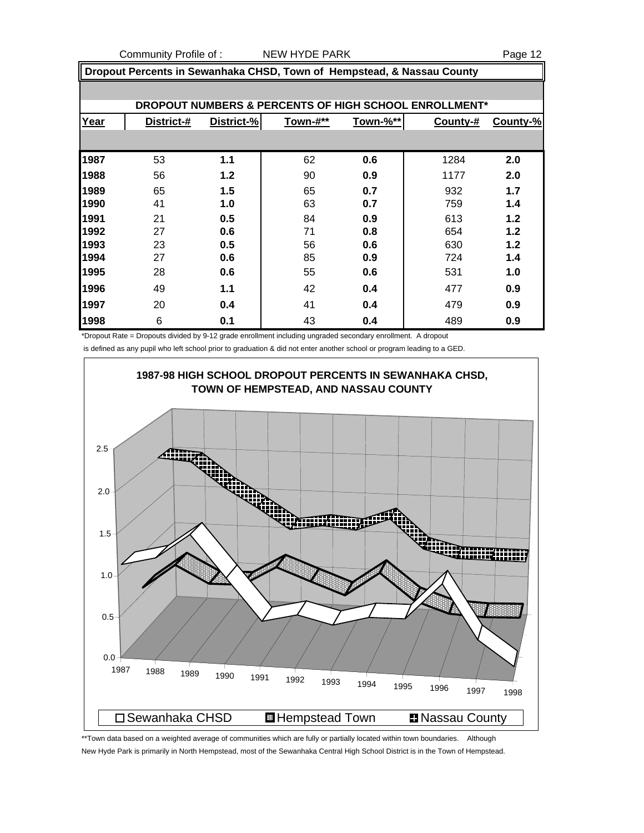|      | Dropout Percents in Sewanhaka CHSD, Town of Hempstead, & Nassau County |            |          |          |          |          |  |  |  |
|------|------------------------------------------------------------------------|------------|----------|----------|----------|----------|--|--|--|
|      | DROPOUT NUMBERS & PERCENTS OF HIGH SCHOOL ENROLLMENT*                  |            |          |          |          |          |  |  |  |
|      |                                                                        |            |          |          |          |          |  |  |  |
| Year | District-#                                                             | District-% | Town-#** | Town-%** | County-# | County-% |  |  |  |
|      |                                                                        |            |          |          |          |          |  |  |  |
| 1987 | 53                                                                     | 1.1        | 62       | 0.6      | 1284     | 2.0      |  |  |  |
| 1988 | 56                                                                     | 1.2        | 90       | 0.9      | 1177     | 2.0      |  |  |  |
| 1989 | 65                                                                     | 1.5        | 65       | 0.7      | 932      | 1.7      |  |  |  |
| 1990 | 41                                                                     | 1.0        | 63       | 0.7      | 759      | 1.4      |  |  |  |
| 1991 | 21                                                                     | 0.5        | 84       | 0.9      | 613      | 1.2      |  |  |  |
| 1992 | 27                                                                     | 0.6        | 71       | 0.8      | 654      | 1.2      |  |  |  |
| 1993 | 23                                                                     | 0.5        | 56       | 0.6      | 630      | 1.2      |  |  |  |
| 1994 | 27                                                                     | 0.6        | 85       | 0.9      | 724      | 1.4      |  |  |  |
| 1995 | 28                                                                     | 0.6        | 55       | 0.6      | 531      | 1.0      |  |  |  |
| 1996 | 49                                                                     | 1.1        | 42       | 0.4      | 477      | 0.9      |  |  |  |
| 1997 | 20                                                                     | 0.4        | 41       | 0.4      | 479      | 0.9      |  |  |  |
| 1998 | 6                                                                      | 0.1        | 43       | 0.4      | 489      | 0.9      |  |  |  |

\*Dropout Rate = Dropouts divided by 9-12 grade enrollment including ungraded secondary enrollment. A dropout is defined as any pupil who left school prior to graduation & did not enter another school or program leading to a GED.



\*\*Town data based on a weighted average of communities which are fully or partially located within town boundaries. Although New Hyde Park is primarily in North Hempstead, most of the Sewanhaka Central High School District is in the Town of Hempstead.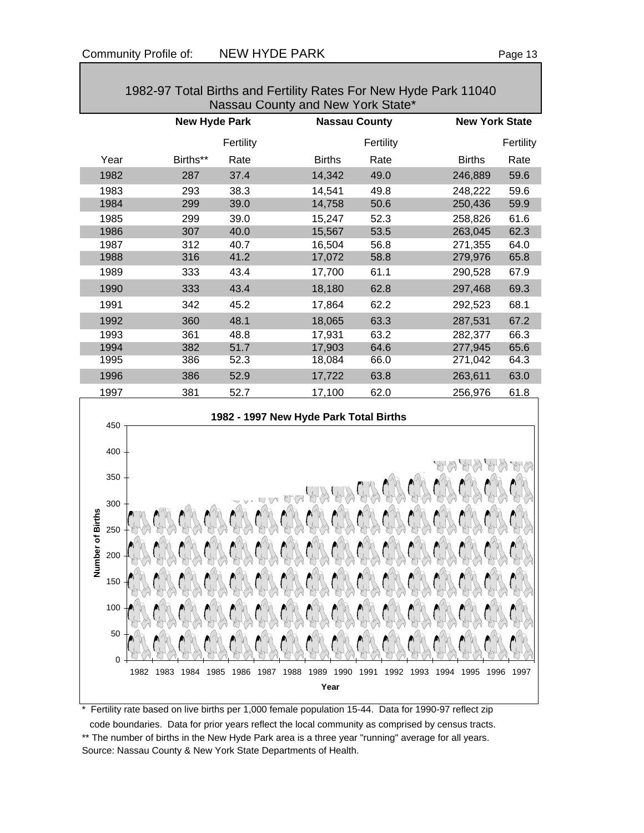| $1302 - 31$ TOtal Diffus and Fertifity Nates FOF New Figue Fain TT040<br>Nassau County and New York State* |                      |                      |                      |                      |                              |                       |  |  |  |  |  |
|------------------------------------------------------------------------------------------------------------|----------------------|----------------------|----------------------|----------------------|------------------------------|-----------------------|--|--|--|--|--|
|                                                                                                            |                      | <b>New Hyde Park</b> |                      | <b>Nassau County</b> |                              | <b>New York State</b> |  |  |  |  |  |
|                                                                                                            |                      | Fertility            |                      | Fertility            |                              | Fertility             |  |  |  |  |  |
| Year                                                                                                       | Births**             | Rate                 | <b>Births</b>        | Rate                 | <b>Births</b>                | Rate                  |  |  |  |  |  |
| 1982                                                                                                       | 287                  | 37.4                 | 14,342               | 49.0                 | 246,889                      | 59.6                  |  |  |  |  |  |
| 1983                                                                                                       | 293                  | 38.3                 | 14,541               | 49.8                 | 248,222                      | 59.6                  |  |  |  |  |  |
| 1984                                                                                                       | 299                  | 39.0                 | 14,758               | 50.6                 | 250,436                      | 59.9                  |  |  |  |  |  |
| 1985                                                                                                       | 299                  | 39.0                 | 15,247               | 52.3                 | 258,826                      | 61.6                  |  |  |  |  |  |
| 1986                                                                                                       | 307                  | 40.0                 | 15,567               | 53.5                 | 263,045                      | 62.3                  |  |  |  |  |  |
| 1987<br>1988                                                                                               | 312<br>316           | 40.7<br>41.2         | 16,504               | 56.8                 | 271,355                      | 64.0                  |  |  |  |  |  |
|                                                                                                            | 333                  | 43.4                 | 17,072               | 58.8                 | 279,976                      | 65.8                  |  |  |  |  |  |
| 1989                                                                                                       |                      |                      | 17,700               | 61.1                 | 290,528                      | 67.9                  |  |  |  |  |  |
| 1990                                                                                                       | 333                  | 43.4                 | 18,180               | 62.8                 | 297,468                      | 69.3                  |  |  |  |  |  |
| 1991                                                                                                       | 342                  | 45.2                 | 17,864               | 62.2                 | 292,523                      | 68.1                  |  |  |  |  |  |
| 1992                                                                                                       | 360                  | 48.1                 | 18,065               | 63.3                 | 287,531                      | 67.2                  |  |  |  |  |  |
| 1993                                                                                                       | 361                  | 48.8                 | 17,931               | 63.2                 | 282,377                      | 66.3                  |  |  |  |  |  |
| 1994                                                                                                       | 382                  | 51.7                 | 17,903               | 64.6                 | 277,945                      | 65.6                  |  |  |  |  |  |
| 1995                                                                                                       | 386                  | 52.3                 | 18,084               | 66.0                 | 271,042                      | 64.3                  |  |  |  |  |  |
| 1996                                                                                                       | 386                  | 52.9                 | 17,722               | 63.8                 | 263,611                      | 63.0                  |  |  |  |  |  |
| 1997                                                                                                       | 381                  | 52.7                 | 17,100               | 62.0                 | 256,976                      | 61.8                  |  |  |  |  |  |
| 1982 - 1997 New Hyde Park Total Births<br>450                                                              |                      |                      |                      |                      |                              |                       |  |  |  |  |  |
| 400                                                                                                        |                      |                      |                      |                      |                              |                       |  |  |  |  |  |
| 350                                                                                                        |                      |                      |                      |                      |                              |                       |  |  |  |  |  |
| 300                                                                                                        |                      |                      |                      |                      |                              |                       |  |  |  |  |  |
|                                                                                                            |                      |                      |                      |                      |                              |                       |  |  |  |  |  |
| 250                                                                                                        |                      |                      |                      |                      |                              |                       |  |  |  |  |  |
| mber of Births<br>200                                                                                      |                      |                      |                      |                      |                              |                       |  |  |  |  |  |
| ż<br>150                                                                                                   |                      |                      |                      |                      |                              |                       |  |  |  |  |  |
| 100                                                                                                        |                      |                      |                      |                      |                              |                       |  |  |  |  |  |
| 50                                                                                                         | 0                    |                      |                      |                      |                              |                       |  |  |  |  |  |
|                                                                                                            | 1983<br>1984<br>1982 | 1985<br>1986<br>1987 | 1988<br>1989<br>1990 | 1991<br>1992         | 1993<br>1994<br>1995<br>1996 | 1997                  |  |  |  |  |  |
|                                                                                                            |                      |                      | Year                 |                      |                              |                       |  |  |  |  |  |
|                                                                                                            |                      |                      |                      |                      |                              |                       |  |  |  |  |  |

# 1982-97 Total Births and Fertility Rates For New Hyde Park 11040

\* Fertility rate based on live births per 1,000 female population 15-44. Data for 1990-97 reflect zip

 code boundaries. Data for prior years reflect the local community as comprised by census tracts. \*\* The number of births in the New Hyde Park area is a three year "running" average for all years. Source: Nassau County & New York State Departments of Health.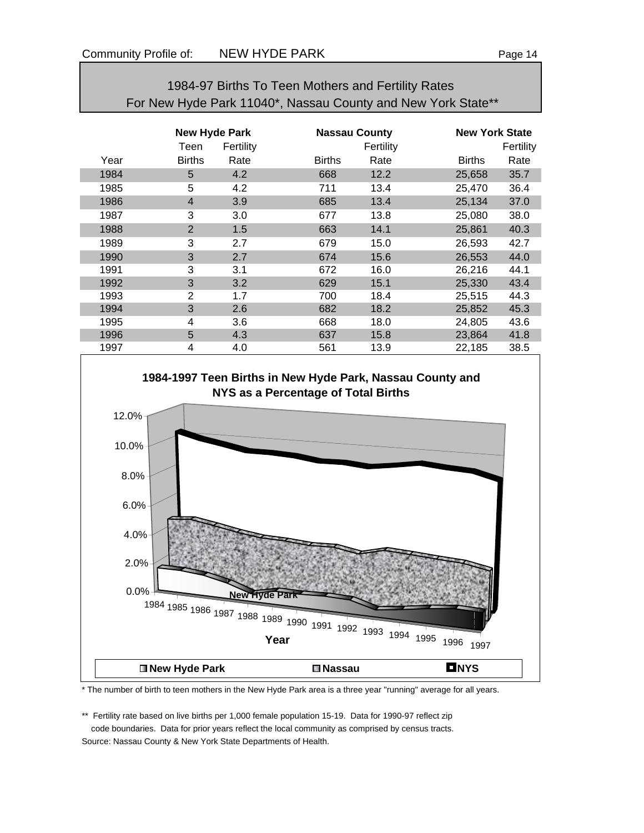| For New Hyde Park 11040*, Nassau County and New York State** |                      |           |               |                      |               |                       |  |  |  |  |
|--------------------------------------------------------------|----------------------|-----------|---------------|----------------------|---------------|-----------------------|--|--|--|--|
|                                                              | <b>New Hyde Park</b> |           |               | <b>Nassau County</b> |               | <b>New York State</b> |  |  |  |  |
|                                                              | Teen                 | Fertility |               | Fertility            |               | Fertility             |  |  |  |  |
| Year                                                         | <b>Births</b>        | Rate      | <b>Births</b> | Rate                 | <b>Births</b> | Rate                  |  |  |  |  |
| 1984                                                         | 5                    | 4.2       | 668           | 12.2                 | 25,658        | 35.7                  |  |  |  |  |
| 1985                                                         | 5                    | 4.2       | 711           | 13.4                 | 25,470        | 36.4                  |  |  |  |  |
| 1986                                                         | $\overline{4}$       | 3.9       | 685           | 13.4                 | 25,134        | 37.0                  |  |  |  |  |
| 1987                                                         | 3                    | 3.0       | 677           | 13.8                 | 25,080        | 38.0                  |  |  |  |  |
| 1988                                                         | 2                    | 1.5       | 663           | 14.1                 | 25,861        | 40.3                  |  |  |  |  |
| 1989                                                         | 3                    | 2.7       | 679           | 15.0                 | 26,593        | 42.7                  |  |  |  |  |
| 1990                                                         | 3                    | 2.7       | 674           | 15.6                 | 26,553        | 44.0                  |  |  |  |  |
| 1991                                                         | 3                    | 3.1       | 672           | 16.0                 | 26,216        | 44.1                  |  |  |  |  |
| 1992                                                         | 3                    | 3.2       | 629           | 15.1                 | 25,330        | 43.4                  |  |  |  |  |
| 1993                                                         | $\overline{2}$       | 1.7       | 700           | 18.4                 | 25,515        | 44.3                  |  |  |  |  |
| 1994                                                         | 3                    | 2.6       | 682           | 18.2                 | 25,852        | 45.3                  |  |  |  |  |
| 1995                                                         | 4                    | 3.6       | 668           | 18.0                 | 24,805        | 43.6                  |  |  |  |  |
| 1996                                                         | 5                    | 4.3       | 637           | 15.8                 | 23,864        | 41.8                  |  |  |  |  |
| 1997                                                         | 4                    | 4.0       | 561           | 13.9                 | 22,185        | 38.5                  |  |  |  |  |

1984-97 Births To Teen Mothers and Fertility Rates



\* The number of birth to teen mothers in the New Hyde Park area is a three year "running" average for all years.

\*\* Fertility rate based on live births per 1,000 female population 15-19. Data for 1990-97 reflect zip code boundaries. Data for prior years reflect the local community as comprised by census tracts. Source: Nassau County & New York State Departments of Health.